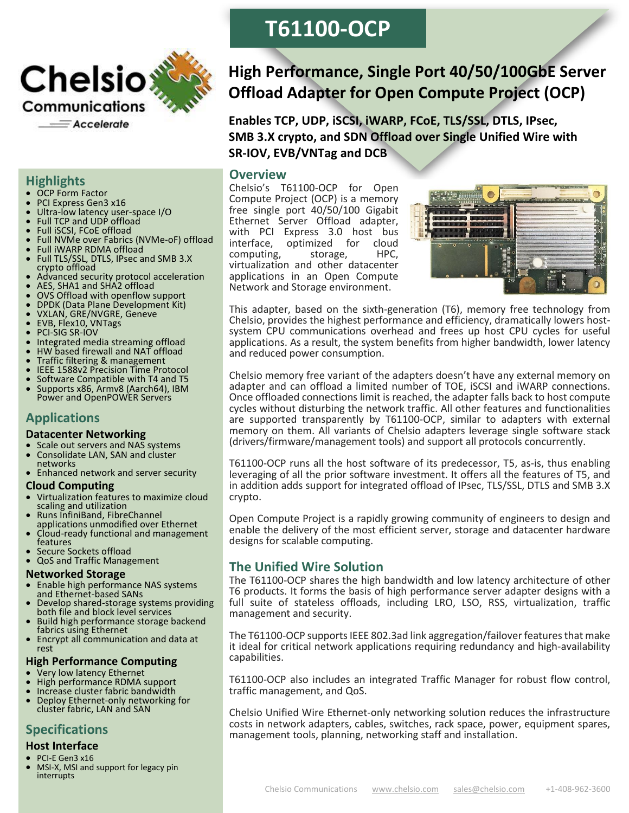

# **Highlights**

- OCP Form Factor
- PCI Express Gen3 x16
- Ultra-low latency user-space I/O
- Full TCP and UDP offload
- Full iSCSI, FCoE offload
- Full NVMe over Fabrics (NVMe-oF) offload
- Full iWARP RDMA offload
- Full TLS/SSL, DTLS, IPsec and SMB 3.X crypto offload
- Advanced security protocol acceleration<br>• AFS SHA1 and SHA2 offload
- AES, SHA1 and SHA2 offload
- OVS Offload with openflow support
- DPDK (Data Plane Development Kit)
- VXLAN, GRE/NVGRE, Geneve
- EVB, Flex10, VNTags
- PCI-SIG SR-IOV
- Integrated media streaming offload
- HW based firewall and NAT offload
- Traffic filtering & management
- IEEE 1588v2 Precision Time Protocol Software Compatible with T4 and T5
- Supports x86, Armv8 (Aarch64), IBM Power and OpenPOWER Servers

# **Applications**

## **Datacenter Networking**

- Scale out servers and NAS systems
- Consolidate LAN, SAN and cluster networks
- Enhanced network and server security

#### **Cloud Computing**

- Virtualization features to maximize cloud scaling and utilization
- Runs InfiniBand, FibreChannel applications unmodified over Ethernet
- Cloud-ready functional and management features
- Secure Sockets offload
- QoS and Traffic Management

#### **Networked Storage**

- Enable high performance NAS systems and Ethernet-based SANs
- Develop shared-storage systems providing both file and block level services
- Build high performance storage backend fabrics using Ethernet
- Encrypt all communication and data at rest

## **High Performance Computing**

- Very low latency Ethernet
- High performance RDMA support • Increase cluster fabric bandwidth
- Deploy Ethernet-only networking for cluster fabric, LAN and SAN

# **Specifications**

# **Host Interface**

- PCI-E Gen3 x16
- MSI-X, MSI and support for legacy pin interrupts

# **T61100-OCP**

# **High Performance, Single Port 40/50/100GbE Server Offload Adapter for Open Compute Project (OCP)**

**Enables TCP, UDP, iSCSI, iWARP, FCoE, TLS/SSL, DTLS, IPsec, SMB 3.X crypto, and SDN Offload over Single Unified Wire with SR-IOV, EVB/VNTag and DCB**

# **Overview**

Chelsio's T61100-OCP for Open Compute Project (OCP) is a memory free single port 40/50/100 Gigabit Ethernet Server Offload adapter, with PCI Express 3.0 host bus interface, optimized for cloud<br>computing, storage, HPC, computing, storage, virtualization and other datacenter applications in an Open Compute Network and Storage environment.



This adapter, based on the sixth-generation (T6), memory free technology from Chelsio, provides the highest performance and efficiency, dramatically lowers hostsystem CPU communications overhead and frees up host CPU cycles for useful applications. As a result, the system benefits from higher bandwidth, lower latency and reduced power consumption.

Chelsio memory free variant of the adapters doesn't have any external memory on adapter and can offload a limited number of TOE, iSCSI and iWARP connections. Once offloaded connections limit is reached, the adapter falls back to host compute cycles without disturbing the network traffic. All other features and functionalities are supported transparently by T61100-OCP, similar to adapters with external memory on them. All variants of Chelsio adapters leverage single software stack (drivers/firmware/management tools) and support all protocols concurrently.

T61100-OCP runs all the host software of its predecessor, T5, as-is, thus enabling leveraging of all the prior software investment. It offers all the features of T5, and in addition adds support for integrated offload of IPsec, TLS/SSL, DTLS and SMB 3.X crypto.

Open Compute Project is a rapidly growing community of engineers to design and enable the delivery of the most efficient server, storage and datacenter hardware designs for scalable computing.

# **The Unified Wire Solution**

The T61100-OCP shares the high bandwidth and low latency architecture of other T6 products. It forms the basis of high performance server adapter designs with a full suite of stateless offloads, including LRO, LSO, RSS, virtualization, traffic management and security.

The T61100-OCP supports IEEE 802.3ad link aggregation/failover features that make it ideal for critical network applications requiring redundancy and high-availability capabilities.

T61100-OCP also includes an integrated Traffic Manager for robust flow control, traffic management, and QoS.

Chelsio Unified Wire Ethernet-only networking solution reduces the infrastructure costs in network adapters, cables, switches, rack space, power, equipment spares, management tools, planning, networking staff and installation.